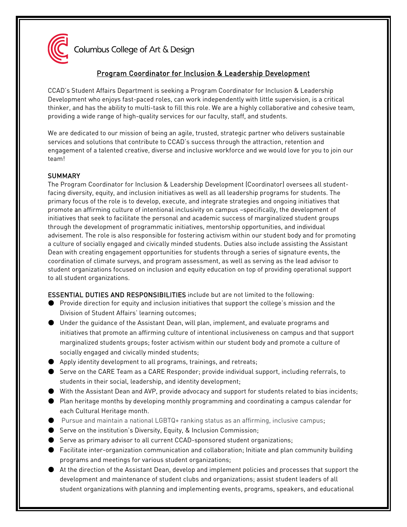

Columbus College of Art & Design

# Program Coordinator for Inclusion & Leadership Development

CCAD's Student Affairs Department is seeking a Program Coordinator for Inclusion & Leadership Development who enjoys fast-paced roles, can work independently with little supervision, is a critical thinker, and has the ability to multi-task to fill this role. We are a highly collaborative and cohesive team, providing a wide range of high-quality services for our faculty, staff, and students.

We are dedicated to our mission of being an agile, trusted, strategic partner who delivers sustainable services and solutions that contribute to CCAD's success through the attraction, retention and engagement of a talented creative, diverse and inclusive workforce and we would love for you to join our team!

## **SUMMARY**

The Program Coordinator for Inclusion & Leadership Development (Coordinator) oversees all studentfacing diversity, equity, and inclusion initiatives as well as all leadership programs for students. The primary focus of the role is to develop, execute, and integrate strategies and ongoing initiatives that promote an affirming culture of intentional inclusivity on campus –specifically, the development of initiatives that seek to facilitate the personal and academic success of marginalized student groups through the development of programmatic initiatives, mentorship opportunities, and individual advisement. The role is also responsible for fostering activism within our student body and for promoting a culture of socially engaged and civically minded students. Duties also include assisting the Assistant Dean with creating engagement opportunities for students through a series of signature events, the coordination of climate surveys, and program assessment, as well as serving as the lead advisor to student organizations focused on inclusion and equity education on top of providing operational support to all student organizations.

ESSENTIAL DUTIES AND RESPONSIBILITIES include but are not limited to the following:

- Provide direction for equity and inclusion initiatives that support the college's mission and the Division of Student Affairs' learning outcomes;
- Under the guidance of the Assistant Dean, will plan, implement, and evaluate programs and initiatives that promote an affirming culture of intentional inclusiveness on campus and that support marginalized students groups; foster activism within our student body and promote a culture of socially engaged and civically minded students;
- Apply identity development to all programs, trainings, and retreats;
- Serve on the CARE Team as a CARE Responder; provide individual support, including referrals, to students in their social, leadership, and identity development;
- With the Assistant Dean and AVP, provide advocacy and support for students related to bias incidents;
- Plan heritage months by developing monthly programming and coordinating a campus calendar for each Cultural Heritage month.
- Pursue and maintain a national LGBTQ+ ranking status as an affirming, inclusive campus;
- Serve on the institution's Diversity, Equity, & Inclusion Commission;
- Serve as primary advisor to all current CCAD-sponsored student organizations;
- Facilitate inter-organization communication and collaboration; Initiate and plan community building programs and meetings for various student organizations;
- At the direction of the Assistant Dean, develop and implement policies and processes that support the development and maintenance of student clubs and organizations; assist student leaders of all student organizations with planning and implementing events, programs, speakers, and educational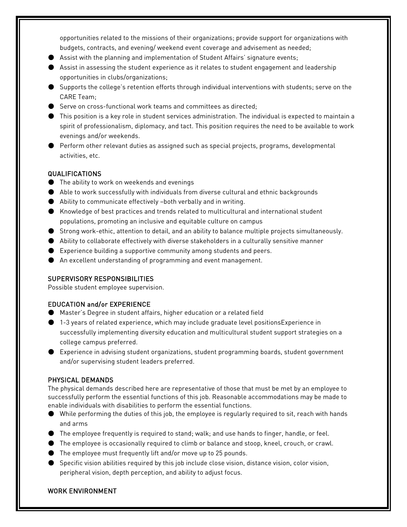opportunities related to the missions of their organizations; provide support for organizations with budgets, contracts, and evening/ weekend event coverage and advisement as needed;

- Assist with the planning and implementation of Student Affairs' signature events;
- Assist in assessing the student experience as it relates to student engagement and leadership opportunities in clubs/organizations;
- Supports the college's retention efforts through individual interventions with students; serve on the CARE Team;
- Serve on cross-functional work teams and committees as directed;
- This position is a key role in student services administration. The individual is expected to maintain a spirit of professionalism, diplomacy, and tact. This position requires the need to be available to work evenings and/or weekends.
- Perform other relevant duties as assigned such as special projects, programs, developmental activities, etc.

## QUALIFICATIONS

- The ability to work on weekends and evenings
- Able to work successfully with individuals from diverse cultural and ethnic backgrounds
- Ability to communicate effectively -both verbally and in writing.
- Knowledge of best practices and trends related to multicultural and international student populations, promoting an inclusive and equitable culture on campus
- Strong work-ethic, attention to detail, and an ability to balance multiple projects simultaneously.
- Ability to collaborate effectively with diverse stakeholders in a culturally sensitive manner
- $\bullet$  Experience building a supportive community among students and peers.
- An excellent understanding of programming and event management.

## SUPERVISORY RESPONSIBILITIES

Possible student employee supervision.

## EDUCATION and/or EXPERIENCE

- Master's Degree in student affairs, higher education or a related field
- 1-3 years of related experience, which may include graduate level positionsExperience in successfully implementing diversity education and multicultural student support strategies on a college campus preferred.
- Experience in advising student organizations, student programming boards, student government and/or supervising student leaders preferred.

## PHYSICAL DEMANDS

The physical demands described here are representative of those that must be met by an employee to successfully perform the essential functions of this job. Reasonable accommodations may be made to enable individuals with disabilities to perform the essential functions.

- While performing the duties of this job, the employee is regularly required to sit, reach with hands and arms
- The employee frequently is required to stand; walk; and use hands to finger, handle, or feel.
- The employee is occasionally required to climb or balance and stoop, kneel, crouch, or crawl.
- The employee must frequently lift and/or move up to 25 pounds.
- Specific vision abilities required by this job include close vision, distance vision, color vision, peripheral vision, depth perception, and ability to adjust focus.

## WORK ENVIRONMENT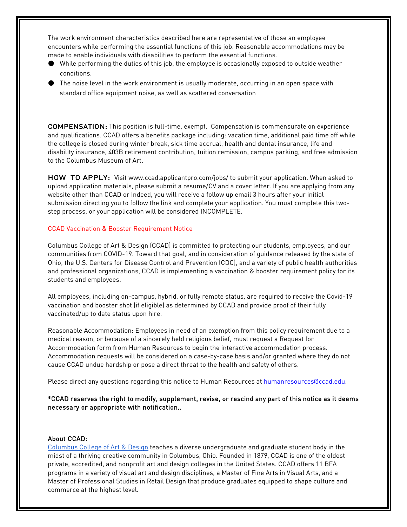The work environment characteristics described here are representative of those an employee encounters while performing the essential functions of this job. Reasonable accommodations may be made to enable individuals with disabilities to perform the essential functions.

- While performing the duties of this job, the employee is occasionally exposed to outside weather conditions.
- The noise level in the work environment is usually moderate, occurring in an open space with standard office equipment noise, as well as scattered conversation

COMPENSATION: This position is full-time, exempt. Compensation is commensurate on experience and qualifications. CCAD offers a benefits package including: vacation time, additional paid time off while the college is closed during winter break, sick time accrual, health and dental insurance, life and disability insurance, 403B retirement contribution, tuition remission, campus parking, and free admission to the Columbus Museum of Art.

HOW TO APPLY: Visit [www.ccad.applicantpro.com/jobs/ t](http://www.ccad.applicantpro.com/jobs/)o submit your application. When asked to upload application materials, please submit a resume/CV and a cover letter. If you are applying from any website other than CCAD or Indeed, you will receive a follow up email 3 hours after your initial submission directing you to follow the link and complete your application. You must complete this twostep process, or your application will be considered INCOMPLETE.

#### CCAD Vaccination & Booster Requirement Notice

Columbus College of Art & Design (CCAD) is committed to protecting our students, employees, and our communities from COVID-19. Toward that goal, and in consideration of guidance released by the state of Ohio, the U.S. Centers for Disease Control and Prevention (CDC), and a variety of public health authorities and professional organizations, CCAD is implementing a vaccination & booster requirement policy for its students and employees.

All employees, including on-campus, hybrid, or fully remote status, are required to receive the Covid-19 vaccination and booster shot (if eligible) as determined by CCAD and provide proof of their fully vaccinated/up to date status upon hire.

Reasonable Accommodation: Employees in need of an exemption from this policy requirement due to a medical reason, or because of a sincerely held religious belief, must request a Request for Accommodation form from Human Resources to begin the interactive accommodation process. Accommodation requests will be considered on a case-by-case basis and/or granted where they do not cause CCAD undue hardship or pose a direct threat to the health and safety of others.

Please direct any questions regarding this notice to Human Resources at [humanresources@ccad.edu.](mailto:humanresources@ccad.edu)

\*CCAD reserves the right to modify, supplement, revise, or rescind any part of this notice as it deems necessary or appropriate with notification..

#### About CCAD:

[Columbus College of Art & Design](https://www.ccad.edu/) teaches a diverse undergraduate and graduate student body in the midst of a thriving creative community in Columbus, Ohio. Founded in 1879, CCAD is one of the oldest private, accredited, and nonprofit art and design colleges in the United States. CCAD offers 11 BFA programs in a variety of visual art and design disciplines, a Master of Fine Arts in Visual Arts, and a Master of Professional Studies in Retail Design that produce graduates equipped to shape culture and commerce at the highest level.